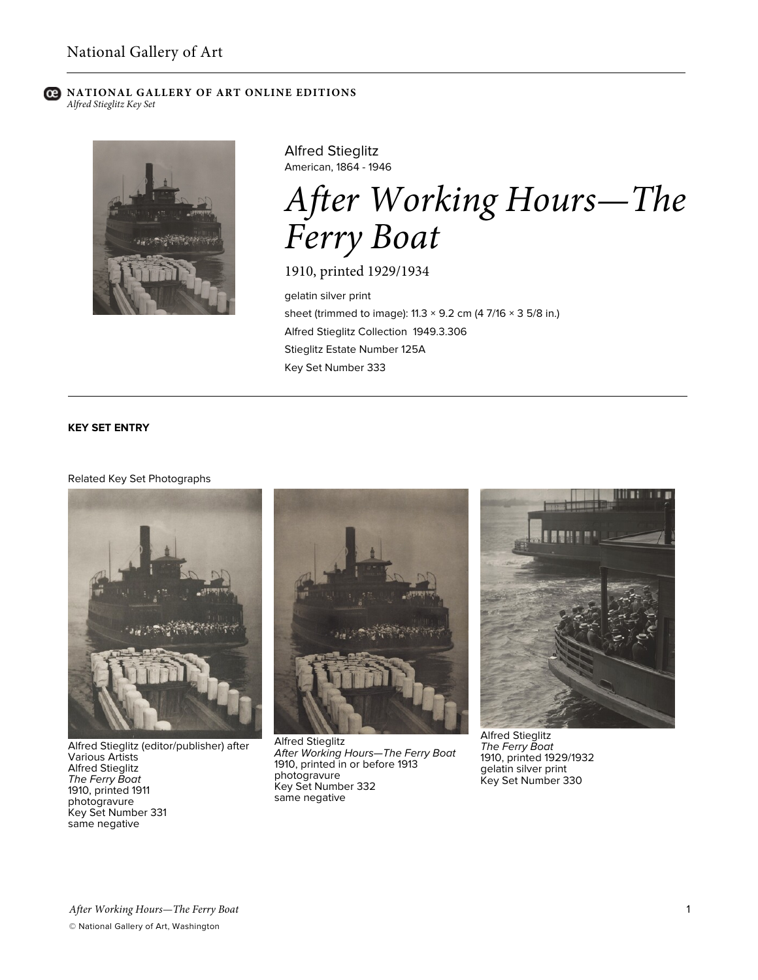#### **C** NATIONAL GALLERY OF ART ONLINE EDITIONS *Alfred Stieglitz Key Set*



Alfred Stieglitz American, 1864 - 1946

# *After Working Hours—The Ferry Boat*

1910, printed 1929/1934

gelatin silver print sheet (trimmed to image):  $11.3 \times 9.2$  cm (4 7/16  $\times$  3 5/8 in.) Alfred Stieglitz Collection 1949.3.306 Stieglitz Estate Number 125A Key Set Number 333

# **KEY SET ENTRY**

#### Related Key Set Photographs



Alfred Stieglitz (editor/publisher) after Various Artists Alfred Stieglitz *The Ferry Boat* 1910, printed 1911 photogravure Key Set Number 331 same negative



Alfred Stieglitz *After Working Hours—The Ferry Boat* 1910, printed in or before 1913 photogravure Key Set Number 332 same negative



Alfred Stieglitz *The Ferry Boat* 1910, printed 1929/1932 gelatin silver print Key Set Number 330